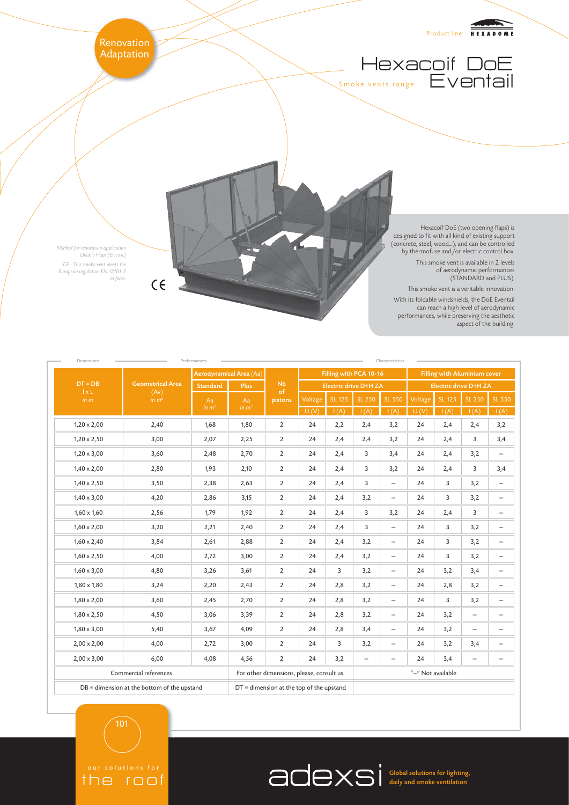

| Dimensions                        |                                                      | Performances<br>Aerodynamical Area (Aa) |               | <b>Nb</b>                                 | Characteristics<br>Filling with PCA 10-16<br><b>Filling with Aluminium cover</b> |             |                   |                          |                       |             |                          |                          |
|-----------------------------------|------------------------------------------------------|-----------------------------------------|---------------|-------------------------------------------|----------------------------------------------------------------------------------|-------------|-------------------|--------------------------|-----------------------|-------------|--------------------------|--------------------------|
| $DT = DB$<br>$1 \times L$<br>in m | <b>Geometrical Area</b><br>(Av)<br>in m <sup>2</sup> | <b>Standard</b><br>Plus                 |               |                                           | <b>Electric drive D+H ZA</b>                                                     |             |                   |                          | Electric drive D+H ZA |             |                          |                          |
|                                   |                                                      | Aa<br>in $m2$                           | Aa<br>in $m2$ | of<br>pistons                             | Voltage                                                                          | $SL$ 125    | <b>SL 250</b>     | <b>SL 550</b>            | Voltage               | SL 125      | <b>SL 250</b>            | <b>SL 550</b>            |
| $1,20 \times 2,00$                | 2,40                                                 | 1,68                                    | 1,80          | $\overline{2}$                            | U(V)<br>24                                                                       | I(A)<br>2,2 | I(A)<br>2,4       | I(A)<br>3,2              | U(V)<br>24            | I(A)<br>2,4 | I(A)<br>2,4              | I(A)<br>3,2              |
| $1,20 \times 2,50$                | 3,00                                                 | 2,07                                    | 2,25          | $\overline{2}$                            | 24                                                                               | 2,4         | 2,4               | 3,2                      | 24                    | 2,4         | 3                        | 3,4                      |
| $1,20 \times 3,00$                | 3,60                                                 | 2,48                                    | 2,70          | $\overline{2}$                            | 24                                                                               | 2,4         | 3                 | 3,4                      | 24                    | 2,4         | 3,2                      | $\overline{\phantom{m}}$ |
| $1,40 \times 2,00$                | 2,80                                                 | 1,93                                    | 2,10          | $\overline{2}$                            | 24                                                                               | 2,4         | 3                 | 3,2                      | 24                    | 2,4         | 3                        | 3,4                      |
| $1,40 \times 2,50$                | 3,50                                                 | 2,38                                    | 2,63          | $\overline{2}$                            | 24                                                                               | 2,4         | 3                 | $\overline{\phantom{0}}$ | 24                    | 3           | 3,2                      | $\overline{\phantom{m}}$ |
| $1,40 \times 3,00$                | 4,20                                                 | 2,86                                    | 3,15          | $\overline{2}$                            | 24                                                                               | 2,4         | 3,2               | $\overline{\phantom{0}}$ | 24                    | 3           | 3,2                      | $\overline{\phantom{m}}$ |
| $1,60 \times 1,60$                | 2,56                                                 | 1,79                                    | 1,92          | $\overline{2}$                            | 24                                                                               | 2,4         | 3                 | 3,2                      | 24                    | 2,4         | 3                        | $\overline{\phantom{m}}$ |
| $1,60 \times 2,00$                | 3,20                                                 | 2,21                                    | 2,40          | $\overline{2}$                            | 24                                                                               | 2,4         | 3                 | $\overline{\phantom{0}}$ | 24                    | 3           | 3,2                      | $\overline{\phantom{m}}$ |
| $1,60 \times 2,40$                | 3,84                                                 | 2,61                                    | 2,88          | $\overline{2}$                            | 24                                                                               | 2,4         | 3,2               | $\overline{\phantom{0}}$ | 24                    | 3           | 3,2                      | $\overline{\phantom{m}}$ |
| $1,60 \times 2,50$                | 4,00                                                 | 2,72                                    | 3,00          | $\overline{2}$                            | 24                                                                               | 2,4         | 3,2               | $\overline{\phantom{0}}$ | 24                    | 3           | 3,2                      | $\overline{\phantom{m}}$ |
| $1,60 \times 3,00$                | 4,80                                                 | 3,26                                    | 3,61          | $\overline{2}$                            | 24                                                                               | 3           | 3,2               | $\qquad \qquad -$        | 24                    | 3,2         | 3,4                      | $\overline{\phantom{m}}$ |
| $1,80 \times 1,80$                | 3,24                                                 | 2,20                                    | 2,43          | $\overline{2}$                            | 24                                                                               | 2,8         | 3,2               | $\qquad \qquad -$        | 24                    | 2,8         | 3,2                      | $\overline{\phantom{m}}$ |
| $1,80 \times 2,00$                | 3,60                                                 | 2,45                                    | 2,70          | $\overline{2}$                            | 24                                                                               | 2,8         | 3,2               | $\qquad \qquad -$        | 24                    | 3           | 3,2                      | $\overline{\phantom{m}}$ |
| $1,80 \times 2,50$                | 4,50                                                 | 3,06                                    | 3,39          | $\overline{2}$                            | 24                                                                               | 2,8         | 3,2               | $\qquad \qquad -$        | 24                    | 3,2         | $\overline{\phantom{0}}$ | $\overline{\phantom{m}}$ |
| $1,80 \times 3,00$                | 5,40                                                 | 3,67                                    | 4,09          | $\overline{2}$                            | 24                                                                               | 2,8         | 3,4               | $\overline{\phantom{0}}$ | 24                    | 3,2         | $\qquad \qquad -$        | $\overline{\phantom{m}}$ |
| $2,00 \times 2,00$                | 4,00                                                 | 2,72                                    | 3,00          | $\overline{2}$                            | 24                                                                               | 3           | 3,2               | $\qquad \qquad -$        | 24                    | 3,2         | 3,4                      | $\overline{\phantom{m}}$ |
| $2,00 \times 3,00$                | 6,00                                                 | 4,08                                    | 4,56          | $\overline{2}$                            | 24                                                                               | 3,2         | $\qquad \qquad -$ | $\qquad \qquad -$        | 24                    | 3,4         | $\qquad \qquad -$        | $\overline{\phantom{m}}$ |
|                                   | Commercial references                                |                                         |               | For other dimensions, please, consult us. |                                                                                  |             | "-" Not available |                          |                       |             |                          |                          |
|                                   | DB = dimension at the bottom of the upstand          |                                         |               |                                           | $DT =$ dimension at the top of the upstand                                       |             |                   |                          |                       |             |                          |                          |

101

the roof

Global solutions for lighting, daily and smoke ventilation